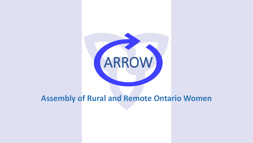

#### **Assembly of Rural and Remote Ontario Women**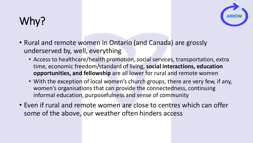# Why?



- Rural and remote women in Ontario (and Canada) are grossly underserved by, well, everything
	- Access to healthcare/health promotion, social services, transportation, extra time, economic freedom/standard of living, **social interactions, education opportunities, and fellowship** are all lower for rural and remote women
	- With the exception of local women's church groups, there are very few, if any, women's organisations that can provide the connectedness, continuing informal education, purposefulness and sense of community
- Even if rural and remote women are close to centres which can offer some of the above, our weather often hinders access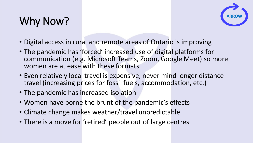# Why Now?



- Digital access in rural and remote areas of Ontario is improving
- The pandemic has 'forced' increased use of digital platforms for communication (e.g. Microsoft Teams, Zoom, Google Meet) so more women are at ease with these formats
- Even relatively local travel is expensive, never mind longer distance travel (increasing prices for fossil fuels, accommodation, etc.)
- The pandemic has increased isolation
- Women have borne the brunt of the pandemic's effects
- Climate change makes weather/travel unpredictable
- There is a move for 'retired' people out of large centres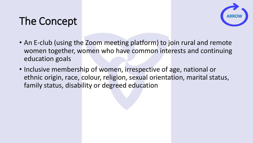# The Concept



- An E-club (using the Zoom meeting platform) to join rural and remote women together, women who have common interests and continuing education goals
- Inclusive membership of women, irrespective of age, national or ethnic origin, race, colour, religion, sexual orientation, marital status, family status, disability or degreed education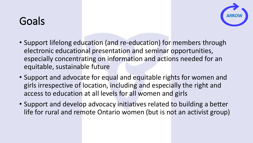### Goals



- Support lifelong education (and re-education) for members through electronic educational presentation and seminar opportunities, especially concentrating on information and actions needed for an equitable, sustainable future
- Support and advocate for equal and equitable rights for women and girls irrespective of location, including and especially the right and access to education at all levels for all women and girls
- Support and develop advocacy initiatives related to building a better life for rural and remote Ontario women (but is not an activist group)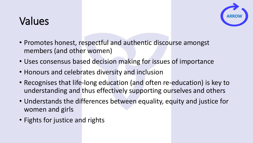### Values



- Promotes honest, respectful and authentic discourse amongst members (and other women)
- Uses consensus based decision making for issues of importance
- Honours and celebrates diversity and inclusion
- Recognises that life-long education (and often re-education) is key to understanding and thus effectively supporting ourselves and others
- Understands the differences between equality, equity and justice for women and girls
- Fights for justice and rights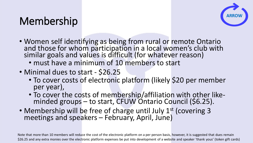### Membership



- Women self identifying as being from rural or remote Ontario and those for whom participation in a local women's club with similar goals and values is difficult (for whatever reason)
	- must have a minimum of 10 members to start
- Minimal dues to start \$26.25
	- To cover costs of electronic platform (likely \$20 per member per year),
	- To cover the costs of membership/affiliation with other like- minded groups to start, CFUW Ontario Council (\$6.25).
- Membership will be free of charge until July 1<sup>st</sup> (covering 3 meetings and speakers February, April, June)

Note that more than 10 members will reduce the cost of the electronic platform on a per person basis, however, it is suggested that dues remain \$26.25 and any extra monies over the electronic platform expenses be put into development of a website and speaker 'thank yous' (token gift cards)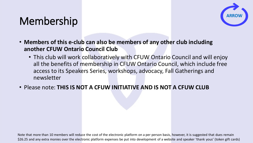#### Membership



- **Members of this e-club can also be members of any other club including another CFUW Ontario Council Club**
	- This club will work collaboratively with CFUW Ontario Council and will enjoy all the benefits of membership in CFUW Ontario Council, which include free access to its Speakers Series, workshops, advocacy, Fall Gatherings and newsletter
- Please note: **THIS IS NOT A CFUW INITIATIVE AND IS NOT A CFUW CLUB**

Note that more than 10 members will reduce the cost of the electronic platform on a per person basis, however, it is suggested that dues remain \$26.25 and any extra monies over the electronic platform expenses be put into development of a website and speaker 'thank yous' (token gift cards)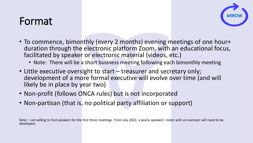#### Format



- To commence, bimonthly (every 2 months) evening meetings of one hour+ duration through the electronic platform Zoom, with an educational focus, facilitated by speaker or electronic material (videos, etc.)
	- Note: There will be a short business meeting following each bimonthly meeting
- Little executive oversight to start treasurer and secretary only; development of a more formal executive will evolve over time (and will likely be in place by year two)
- Non-profit (follows ONCA rules) but is not incorporated
- Non-partisan (that is, no political party affiliation or support)

Note: I am willing to find speakers for the first three meetings. From July 2022, a yearly speakers' roster with an overseer will need to be developed.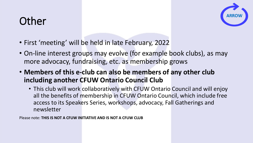# Other



- First 'meeting' will be held in late February, 2022
- On-line interest groups may evolve (for example book clubs), as may more advocacy, fundraising, etc. as membership grows
- **Members of this e-club can also be members of any other club including another CFUW Ontario Council Club**
	- This club will work collaboratively with CFUW Ontario Council and will enjoy all the benefits of membership in CFUW Ontario Council, which include free access to its Speakers Series, workshops, advocacy, Fall Gatherings and newsletter

Please note: **THIS IS NOT A CFUW INITIATIVE AND IS NOT A CFUW CLUB**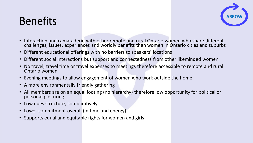#### Benefits



- Interaction and camaraderie with other remote and rural Ontario women who share different challenges, issues, experiences and worldly benefits than women in Ontario cities and suburbs
- Different educational offerings with no barriers to speakers' locations
- Different social interactions but support and connectedness from other likeminded women
- No travel, travel time or travel expenses to meetings therefore accessible to remote and rural Ontario women
- Evening meetings to allow engagement of women who work outside the home
- A more environmentally friendly gathering
- All members are on an equal footing (no hierarchy) therefore low opportunity for political or personal posturing
- Low dues structure, comparatively
- Lower commitment overall (in time and energy)
- Supports equal and equitable rights for women and girls